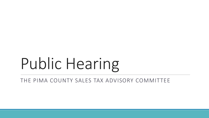# Public Hearing

THE PIMA COUNTY SALES TAX ADVISORY COMMITTEE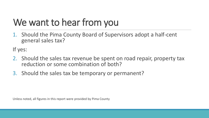## We want to hear from you

1. Should the Pima County Board of Supervisors adopt a half-cent general sales tax?

If yes:

- 2. Should the sales tax revenue be spent on road repair, property tax reduction or some combination of both?
- 3. Should the sales tax be temporary or permanent?

Unless noted, all figures in this report were provided by Pima County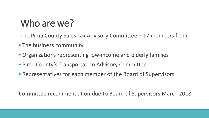#### Who are we?

The Pima County Sales Tax Advisory Committee – 17 members from:

- The business community
- Organizations representing low-income and elderly families
- Pima County's Transportation Advisory Committee
- Representatives for each member of the Board of Supervisors

Committee recommendation due to Board of Supervisors March 2018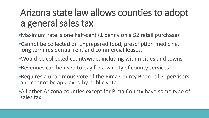#### Arizona state law allows counties to adopt a general sales tax

- •Maximum rate is one half-cent (1 penny on a \$2 retail purchase)
- •Cannot be collected on unprepared food, prescription medicine, long term residential rent and commercial leases.
- •Would be collected countywide, including within cities and towns
- •Revenues can be used to pay for a variety of county services
- •Requires a unanimous vote of the Pima County Board of Supervisors and cannot be approved by public vote.
- •All other Arizona counties except for Pima County have some type of sales tax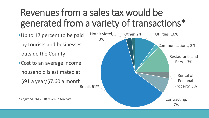### Revenues from a sales tax would be generated from a variety of transactions\*

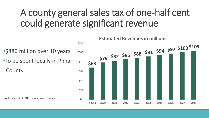#### A county general sales tax of one-half cent could generate significant revenue

• \$880 million over 10 years •To be spent locally in Pima County

\*Adjusted RTA 2018 revenue forecast

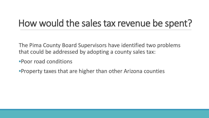#### How would the sales tax revenue be spent?

The Pima County Board Supervisors have identified two problems that could be addressed by adopting a county sales tax:

•Poor road conditions

•Property taxes that are higher than other Arizona counties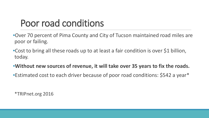#### Poor road conditions

- •Over 70 percent of Pima County and City of Tucson maintained road miles are poor or failing.
- •Cost to bring all these roads up to at least a fair condition is over \$1 billion, today.
- •**Without new sources of revenue, it will take over 35 years to fix the roads.**
- •Estimated cost to each driver because of poor road conditions: \$542 a year\*

\*TRIPnet.org 2016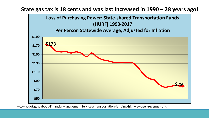

www.azdot.gov/about/FinancialManagementServices/transportation-funding/highway-user-revenue-fund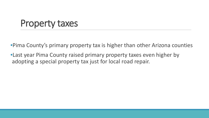#### Property taxes

•Pima County's primary property tax is higher than other Arizona counties

•Last year Pima County raised primary property taxes even higher by adopting a special property tax just for local road repair.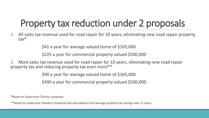## Property tax reduction under 2 proposals

1. All sales tax revenue used for road repair for 10 years, eliminating new road repair property tax\*

\$41 a year for average valued home of \$165,000

\$225 a year for commercial property valued \$500,000

2. Most sales tax revenue used for road repair for 10 years, eliminating new road repair property tax and reducing property tax even more\*\*

\$90 a year for average valued home of \$165,000

\$490 a year for commercial property valued \$500,000.

\*Based on Supervisor Christy's proposal

\*\*Based on Supervisor Valadez's proposal and calculated as the average property tax savings over 11 years.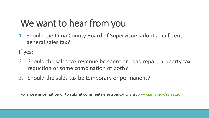## We want to hear from you

1. Should the Pima County Board of Supervisors adopt a half-cent general sales tax?

If yes:

- 2. Should the sales tax revenue be spent on road repair, property tax reduction or some combination of both?
- 3. Should the sales tax be temporary or permanent?

**For more information or to submit comments electronically, visit** [www.pima.gov/salestax](http://www.pima.gov/salestax)